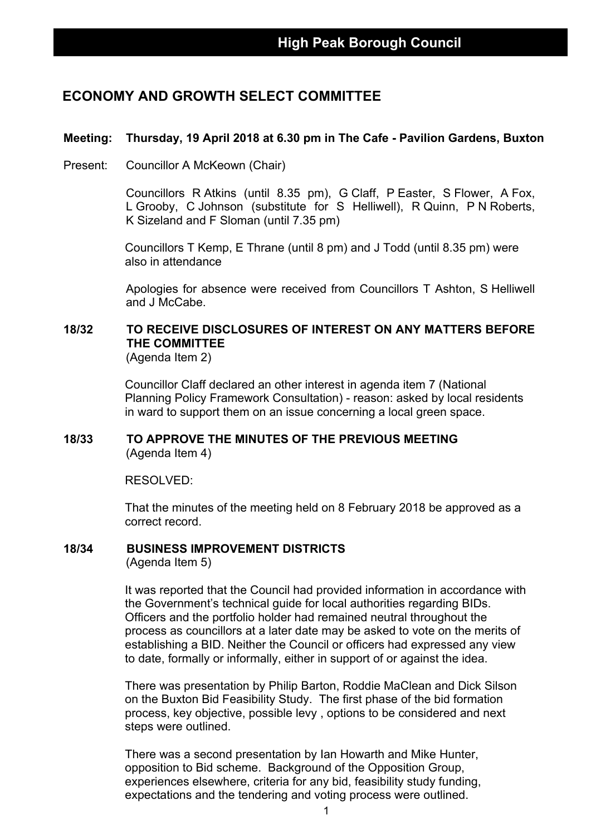## **ECONOMY AND GROWTH SELECT COMMITTEE**

#### **Meeting: Thursday, 19 April 2018 at 6.30 pm in The Cafe - Pavilion Gardens, Buxton**

Present: Councillor A McKeown (Chair)

Councillors R Atkins (until 8.35 pm), G Claff, P Easter, S Flower, A Fox, L Grooby, C Johnson (substitute for S Helliwell), R Quinn, P N Roberts, K Sizeland and F Sloman (until 7.35 pm)

Councillors T Kemp, E Thrane (until 8 pm) and J Todd (until 8.35 pm) were also in attendance

Apologies for absence were received from Councillors T Ashton, S Helliwell and J McCabe.

# **18/32 TO RECEIVE DISCLOSURES OF INTEREST ON ANY MATTERS BEFORE THE COMMITTEE**

(Agenda Item 2)

Councillor Claff declared an other interest in agenda item 7 (National Planning Policy Framework Consultation) - reason: asked by local residents in ward to support them on an issue concerning a local green space.

#### **18/33 TO APPROVE THE MINUTES OF THE PREVIOUS MEETING** (Agenda Item 4)

RESOLVED:

That the minutes of the meeting held on 8 February 2018 be approved as a correct record.

#### **18/34 BUSINESS IMPROVEMENT DISTRICTS**

(Agenda Item 5)

It was reported that the Council had provided information in accordance with the Government's technical guide for local authorities regarding BIDs. Officers and the portfolio holder had remained neutral throughout the process as councillors at a later date may be asked to vote on the merits of establishing a BID. Neither the Council or officers had expressed any view to date, formally or informally, either in support of or against the idea.

There was presentation by Philip Barton, Roddie MaClean and Dick Silson on the Buxton Bid Feasibility Study. The first phase of the bid formation process, key objective, possible levy , options to be considered and next steps were outlined.

There was a second presentation by Ian Howarth and Mike Hunter, opposition to Bid scheme. Background of the Opposition Group, experiences elsewhere, criteria for any bid, feasibility study funding, expectations and the tendering and voting process were outlined.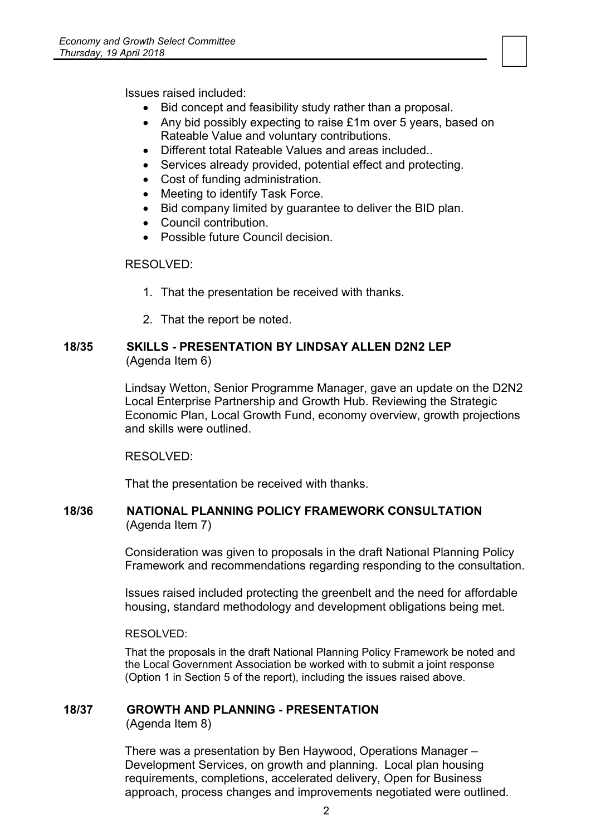Issues raised included:

- Bid concept and feasibility study rather than a proposal.
- Any bid possibly expecting to raise £1m over 5 years, based on Rateable Value and voluntary contributions.

- Different total Rateable Values and areas included..
- Services already provided, potential effect and protecting.
- Cost of funding administration.
- Meeting to identify Task Force.
- Bid company limited by guarantee to deliver the BID plan.
- Council contribution.
- Possible future Council decision.

#### RESOLVED:

- 1. That the presentation be received with thanks.
- 2. That the report be noted.

#### **18/35 SKILLS - PRESENTATION BY LINDSAY ALLEN D2N2 LEP** (Agenda Item 6)

Lindsay Wetton, Senior Programme Manager, gave an update on the D2N2 Local Enterprise Partnership and Growth Hub. Reviewing the Strategic Economic Plan, Local Growth Fund, economy overview, growth projections and skills were outlined.

RESOLVED:

That the presentation be received with thanks.

#### **18/36 NATIONAL PLANNING POLICY FRAMEWORK CONSULTATION** (Agenda Item 7)

Consideration was given to proposals in the draft National Planning Policy Framework and recommendations regarding responding to the consultation.

Issues raised included protecting the greenbelt and the need for affordable housing, standard methodology and development obligations being met.

RESOLVED:

That the proposals in the draft National Planning Policy Framework be noted and the Local Government Association be worked with to submit a joint response (Option 1 in Section 5 of the report), including the issues raised above.

#### **18/37 GROWTH AND PLANNING - PRESENTATION**

(Agenda Item 8)

There was a presentation by Ben Haywood, Operations Manager – Development Services, on growth and planning. Local plan housing requirements, completions, accelerated delivery, Open for Business approach, process changes and improvements negotiated were outlined.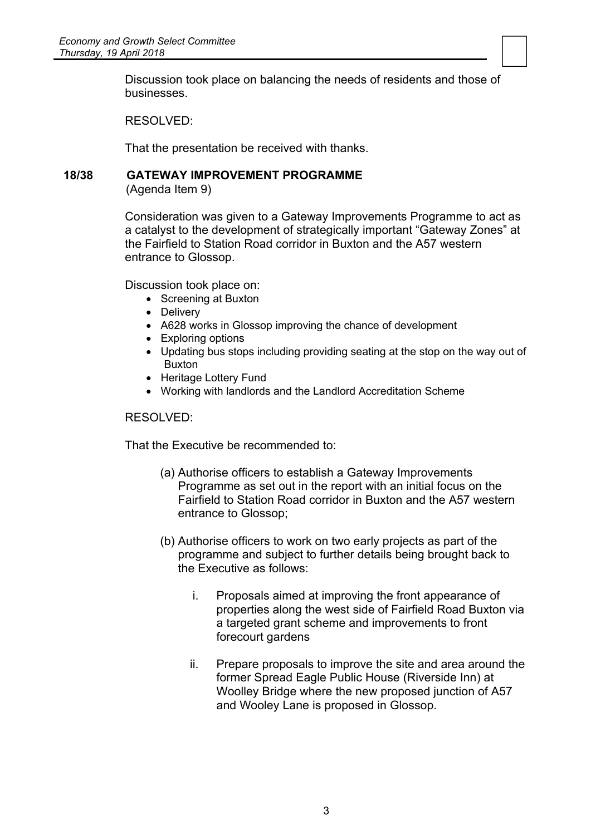$\begin{tabular}{|c|c|} \hline \quad \quad & \quad \quad \\ \hline \quad \quad & \quad \quad \\ \hline \quad \quad & \quad \quad \\ \hline \quad \quad & \quad \quad \\ \hline \end{tabular}$ Discussion took place on balancing the needs of residents and those of businesses.

RESOLVED:

That the presentation be received with thanks.

#### **18/38 GATEWAY IMPROVEMENT PROGRAMME**

(Agenda Item 9)

Consideration was given to a Gateway Improvements Programme to act as a catalyst to the development of strategically important "Gateway Zones" at the Fairfield to Station Road corridor in Buxton and the A57 western entrance to Glossop.

Discussion took place on:

- Screening at Buxton
- Delivery
- A628 works in Glossop improving the chance of development
- Exploring options
- Updating bus stops including providing seating at the stop on the way out of Buxton
- Heritage Lottery Fund
- Working with landlords and the Landlord Accreditation Scheme

#### RESOLVED:

That the Executive be recommended to:

- (a) Authorise officers to establish a Gateway Improvements Programme as set out in the report with an initial focus on the Fairfield to Station Road corridor in Buxton and the A57 western entrance to Glossop;
- (b) Authorise officers to work on two early projects as part of the programme and subject to further details being brought back to the Executive as follows:
	- i. Proposals aimed at improving the front appearance of properties along the west side of Fairfield Road Buxton via a targeted grant scheme and improvements to front forecourt gardens
	- ii. Prepare proposals to improve the site and area around the former Spread Eagle Public House (Riverside Inn) at Woolley Bridge where the new proposed junction of A57 and Wooley Lane is proposed in Glossop.